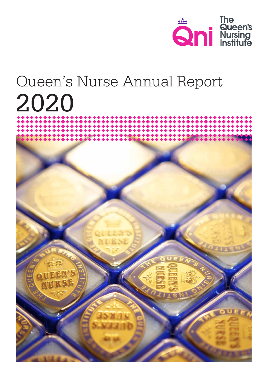

# Queen's Nurse Annual Report 2020

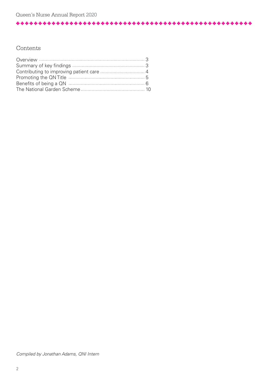# Contents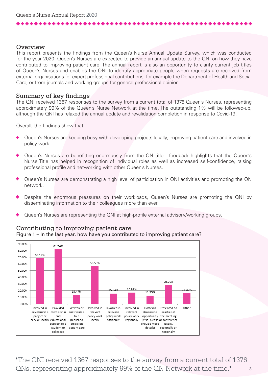## **Overview**

This report presents the findings from the Queen's Nurse Annual Update Survey, which was conducted for the year 2020. Queen's Nurses are expected to provide an annual update to the QNI on how they have contributed to improving patient care. The annual report is also an opportunity to clarify current job titles of Queen's Nurses and enables the QNI to identify appropriate people when requests are received from external organisations for expert professional contributions, for example the Department of Health and Social Care, or from journals and working groups for general professional opinion.

## Summary of key findings

The QNI received 1367 responses to the survey from a current total of 1376 Queen's Nurses, representing approximately 99% of the Queen's Nurse Network at the time. The outstanding 1% will be followed-up, although the QNI has relaxed the annual update and revalidation completion in response to Covid-19.

Overall, the findings show that:

- Queen's Nurses are keeping busy with developing projects locally, improving patient care and involved in policy work.
- Queen's Nurses are benefitting enormously from the QN title feedback highlights that the Queen's Nurse Title has helped in recognition of individual roles as well as increased self-confidence, raising professional profile and networking with other Queen's Nurses.
- Queen's Nurses are demonstrating a high level of participation in QNI activities and promoting the QN network.
- Despite the enormous pressures on their workloads, Queen's Nurses are promoting the QNI by disseminating information to their colleagues more than ever.
- Queen's Nurses are representing the QNI at high-profile external advisory/working groups.



#### Contributing to improving patient care Figure 1 – In the last year, how have you contributed to improving patient care?

3 **'**The QNI received 1367 responses to the survey from a current total of 1376 QNs, representing approximately 99% of the QN Network at the time.**'**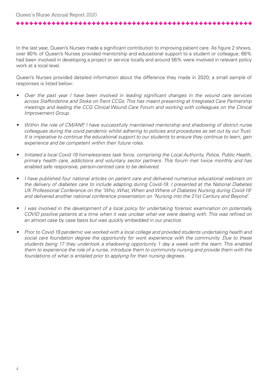\*\*\*\*\*\*\*\*\*\*\*\*\*\*\*\*\*\*\*\*\*\*\*\*\*

In the last year, Queen's Nurses made a significant contribution to improving patient care. As figure 2 shows, over 80% of Queen's Nurses provided mentorship and educational support to a student or colleague; 68% had been involved in developing a project or service locally and around 56% were involved in relevant policy work at a local level.

Queen's Nurses provided detailed information about the difference they made in 2020; a small sample of responses is listed below:

- Over the past year I have been involved in leading significant changes in the wound care services across Staffordshire and Stoke on Trent CCGs. This has meant presenting at Integrated Care Partnership meetings and leading the CCG Clinical Wound Care Forum and working with colleagues on the Clinical Improvement Group.
- Within the role of CM/ANP, I have successfully maintained mentorship and shadowing of district nurse colleagues during the covid pandemic whilst adhering to policies and procedures as set out by our Trust. It is imperative to continue the educational support to our students to ensure they continue to learn, gain experience and be competent within their future roles.
- Initiated a local Covid 19 homelessness task force, comprising the Local Authority, Police, Public Health, primary health care, addictions and voluntary sector partners. This forum met twice monthly and has enabled safe responsive, person-centred care to be delivered.
- I have published four national articles on patient care and delivered numerous educational webinars on the delivery of diabetes care to include adapting during Covid-19. I presented at the National Diabetes UK Professional Conference on the 'Who, What, When and Where of Diabetes Nursing during Covid-19' and delivered another national conference presentation on 'Nursing into the 21st Century and Beyond'.
- I was involved in the development of a local policy for undertaking forensic examination on potentially COVID positive patients at a time when it was unclear what we were dealing with. This was refined on an almost case by case basis but was quickly embedded in our practice.
- Prior to Covid 19 pandemic we worked with a local college and provided students undertaking health and social care foundation degree the opportunity for work experience with the community. Due to these students being 17 they undertook a shadowing opportunity 1 day a week with the team. This enabled them to experience the role of a nurse, introduce them to community nursing and provide them with the foundations of what is entailed prior to applying for their nursing degrees.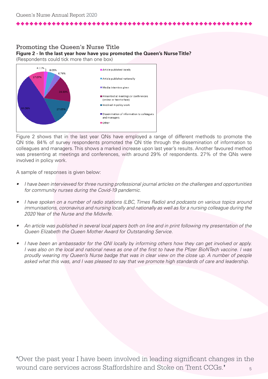#### Promoting the Queen's Nurse Title **Figure 2 - In the last year how have you promoted the Queen's Nurse Title?**  (Respondents could tick more than one box)

Other

4.11% 8.05% Article published locally 6.76% 17.079 Article published nationally Media interview given Presented at meetings or conferences (online or face to face) Involved in policy work Dissemination of information to colleagues and managers

Figure 2 shows that in the last year QNs have employed a range of different methods to promote the QN title. 84% of survey respondents promoted the QN title through the dissemination of information to colleagues and managers. This shows a marked increase upon last year's results. Another favoured method was presenting at meetings and conferences, with around 29% of respondents. 27% of the QNs were involved in policy work.

A sample of responses is given below:

- I have been interviewed for three nursing professional journal articles on the challenges and opportunities for community nurses during the Covid-19 pandemic.
- I have spoken on a number of radio stations (LBC, Times Radio) and podcasts on various topics around immunisations, coronavirus and nursing locally and nationally as well as for a nursing colleague during the 2020 Year of the Nurse and the Midwife.
- An article was published in several local papers both on line and in print following my presentation of the Queen Elizabeth the Queen Mother Award for Outstanding Service.
- I have been an ambassador for the QNI locally by informing others how they can get involved or apply. I was also on the local and national news as one of the first to have the Pfizer BioNTech vaccine. I was proudly wearing my Queen's Nurse badge that was in clear view on the close up. A number of people asked what this was, and I was pleased to say that we promote high standards of care and leadership.

5 **'**Over the past year I have been involved in leading significant changes in the wound care services across Staffordshire and Stoke on Trent CCGs.**'**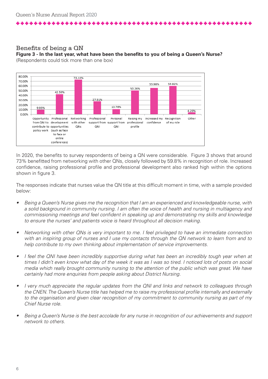. . . . . . . . . . . . . . . . . . . .

#### Benefits of being a QN **Figure 3 - In the last year, what have been the benefits to you of being a Queen's Nurse?** (Respondents could tick more than one box)



In 2020, the benefits to survey respondents of being a QN were considerable. Figure 3 shows that around 73% benefitted from networking with other QNs, closely followed by 59.8% in recognition of role. Increased confidence, raising professional profile and professional development also ranked high within the options shown in figure 3.

The responses indicate that nurses value the QN title at this difficult moment in time, with a sample provided below:

- Being a Queen's Nurse gives me the recognition that I am an experienced and knowledgeable nurse, with a solid background in community nursing. I am often the voice of health and nursing in multiagency and commissioning meetings and feel confident in speaking up and demonstrating my skills and knowledge to ensure the nurses' and patients voice is heard throughout all decision making.
- Networking with other QNs is very important to me. I feel privileged to have an immediate connection with an inspiring group of nurses and I use my contacts through the QN network to learn from and to help contribute to my own thinking about implementation of service improvements.
- I feel the QNI have been incredibly supportive during what has been an incredibly tough year when at times I didn't even know what day of the week it was as I was so tired. I noticed lots of posts on social media which really brought community nursing to the attention of the public which was great. We have certainly had more enquiries from people asking about District Nursing.
- I very much appreciate the regular updates from the QNI and links and network to colleagues through the CNEN. The Queen's Nurse title has helped me to raise my professional profile internally and externally to the organisation and given clear recognition of my commitment to community nursing as part of my Chief Nurse role.
- Being a Queen's Nurse is the best accolade for any nurse in recognition of our achievements and support network to others.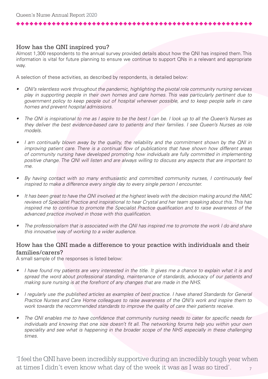والمراجع والمراجع والمراجع والمراجع والمراجع والمراجع والمراجع

# How has the QNI inspired you?

Almost 1,300 respondents to the annual survey provided details about how the QNI has inspired them. This information is vital for future planning to ensure we continue to support QNs in a relevant and appropriate way.

A selection of these activities, as described by respondents, is detailed below:

- QNI's relentless work throughout the pandemic, highlighting the pivotal role community nursing services play in supporting people in their own homes and care homes. This was particularly pertinent due to government policy to keep people out of hospital wherever possible, and to keep people safe in care homes and prevent hospital admissions.
- The QNI is inspirational to me as I aspire to be the best I can be. I look up to all the Queen's Nurses as they deliver the best evidence-based care to patients and their families. I see Queen's Nurses as role models.
- I am continually blown away by the quality, the reliability and the commitment shown by the QNI in improving patient care. There is a continual flow of publications that have shown how different areas of community nursing have developed promoting how individuals are fully committed in implementing positive change. The QNI will listen and are always willing to discuss any aspects that are important to me.
- By having contact with so many enthusiastic and committed community nurses, I continuously feel inspired to make a difference every single day to every single person I encounter.
- It has been great to have the QNI involved at the highest levels with the decision making around the NMC reviews of Specialist Practice and inspirational to hear Crystal and her team speaking about this. This has inspired me to continue to promote the Specialist Practice qualification and to raise awareness of the advanced practice involved in those with this qualification.
- The professionalism that is associated with the QNI has inspired me to promote the work I do and share this innovative way of working to a wider audience.

# How has the QNI made a difference to your practice with individuals and their families/carers?

A small sample of the responses is listed below:

- I have found my patients are very interested in the title. It gives me a chance to explain what it is and spread the word about professional standing, maintenance of standards, advocacy of our patients and making sure nursing is at the forefront of any changes that are made in the NHS.
- I regularly use the published articles as examples of best practice. I have shared Standards for General Practice Nurses and Care Home colleagues to raise awareness of the QNI's work and inspire them to work towards the recommended standards to improve the quality of care their patients receive.
- The QNI enables me to have confidence that community nursing needs to cater for specific needs for individuals and knowing that one size doesn't fit all. The networking forums help you within your own speciality and see what is happening in the broader scope of the NHS especially in these challenging times.

7 'I feel the QNI have been incredibly supportive during an incredibly tough year when at times I didn't even know what day of the week it was as I was so tired'.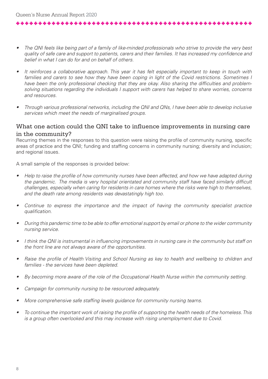\*\*\*\*\*\*\*\*\*\*\*\*\*\*\*\*\*\*\*\*\*\*\*\*

- The QNI feels like being part of a family of like-minded professionals who strive to provide the very best quality of safe care and support to patients, carers and their families. It has increased my confidence and belief in what I can do for and on behalf of others.
- It reinforces a collaborative approach. This year it has felt especially important to keep in touch with families and carers to see how they have been coping in light of the Covid restrictions. Sometimes I have been the only professional checking that they are okay. Also sharing the difficulties and problemsolving situations regarding the individuals I support with carers has helped to share worries, concerns and resources.
- Through various professional networks, including the QNI and QNs, I have been able to develop inclusive services which meet the needs of marginalised groups.

# What one action could the QNI take to influence improvements in nursing care in the community?

Recurring themes in the responses to this question were raising the profile of community nursing, specific areas of practice and the QNI; funding and staffing concerns in community nursing; diversity and inclusion; and regional issues.

A small sample of the responses is provided below:

- Help to raise the profile of how community nurses have been affected, and how we have adapted during the pandemic. The media is very hospital orientated and community staff have faced similarly difficult challenges, especially when caring for residents in care homes where the risks were high to themselves, and the death rate among residents was devastatingly high too.
- Continue to express the importance and the impact of having the community specialist practice qualification.
- During this pandemic time to be able to offer emotional support by email or phone to the wider community nursing service.
- I think the QNI is instrumental in influencing improvements in nursing care in the community but staff on the front line are not always aware of the opportunities.
- Raise the profile of Health Visiting and School Nursing as key to health and wellbeing to children and families - the services have been depleted.
- By becoming more aware of the role of the Occupational Health Nurse within the community setting.
- Campaign for community nursing to be resourced adequately.
- More comprehensive safe staffing levels guidance for community nursing teams.
- To continue the important work of raising the profile of supporting the health needs of the homeless. This is a group often overlooked and this may increase with rising unemployment due to Covid.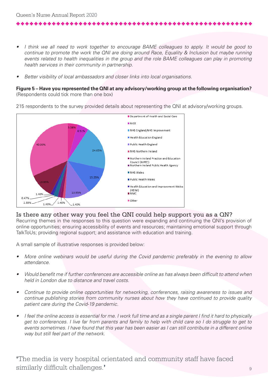والمراجع والمراجع والمراجع والمراجع والمراجع والمراجع

- I think we all need to work together to encourage BAME colleagues to apply. It would be good to continue to promote the work the QNI are doing around Race, Equality & Inclusion but maybe running events related to health inequalities in the group and the role BAME colleagues can play in promoting health services in their community in partnership.
- Better visibility of local ambassadors and closer links into local organisations.

#### **Figure 5 – Have you represented the QNI at any advisory/working group at the following organisation?**  (Respondents could tick more than one box)

215 respondents to the survey provided details about representing the QNI at advisory/working groups.



## Is there any other way you feel the QNI could help support you as a QN?

Recurring themes in the responses to this question were expanding and continuing the QNI's provision of online opportunities; ensuring accessibility of events and resources; maintaining emotional support through TalkToUs; providing regional support; and assistance with education and training.

A small sample of illustrative responses is provided below:

- More online webinars would be useful during the Covid pandemic preferably in the evening to allow attendance.
- Would benefit me if further conferences are accessible online as has always been difficult to attend when held in London due to distance and travel costs.
- Continue to provide online opportunities for networking, conferences, raising awareness to issues and continue publishing stories from community nurses about how they have continued to provide quality patient care during the Covid-19 pandemic.
- I feel the online access is essential for me. I work full time and as a single parent I find it hard to physically get to conferences. I live far from parents and family to help with child care so I do struggle to get to events sometimes. I have found that this year has been easier as I can still contribute in a different online way but still feel part of the network.

**'**The media is very hospital orientated and community staff have faced similarly difficult challenges.**'**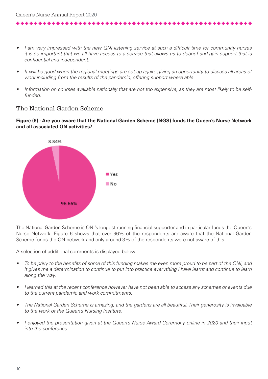I am very impressed with the new QNI listening service at such a difficult time for community nurses it is so important that we all have access to a service that allows us to debrief and gain support that is confidential and independent.

- It will be good when the regional meetings are set up again, giving an opportunity to discuss all areas of work including from the results of the pandemic, offering support where able.
- Information on courses available nationally that are not too expensive, as they are most likely to be selffunded.

# The National Garden Scheme

#### **Figure (6) - Are you aware that the National Garden Scheme (NGS) funds the Queen's Nurse Network and all associated QN activities?**



The National Garden Scheme is QNI's longest running financial supporter and in particular funds the Queen's Nurse Network. Figure 6 shows that over 96% of the respondents are aware that the National Garden Scheme funds the QN network and only around 3% of the respondents were not aware of this.

A selection of additional comments is displayed below:

- To be privy to the benefits of some of this funding makes me even more proud to be part of the QNI, and it gives me a determination to continue to put into practice everything I have learnt and continue to learn along the way.
- I learned this at the recent conference however have not been able to access any schemes or events due to the current pandemic and work commitments.
- The National Garden Scheme is amazing, and the gardens are all beautiful. Their generosity is invaluable to the work of the Queen's Nursing Institute.
- I enjoyed the presentation given at the Queen's Nurse Award Ceremony online in 2020 and their input into the conference.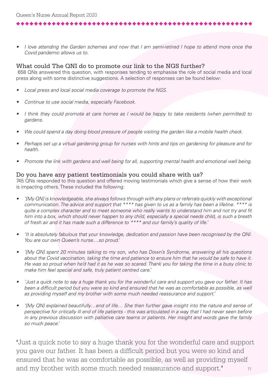• I love attending the Garden schemes and now that I am semi-retired I hope to attend more once the Covid pandemic allows us to.

#### What could The QNI do to promote our link to the NGS further?

 658 QNs answered this question, with responses tending to emphasise the role of social media and local press along with some distinctive suggestions. A selection of responses can be found below:

- Local press and local social media coverage to promote the NGS.
- Continue to use social media, especially Facebook.
- I think they could promote at care homes as I would be happy to take residents (when permitted) to gardens.
- We could spend a day doing blood pressure of people visiting the garden like a mobile health check.
- Perhaps set up a virtual gardening group for nurses with hints and tips on gardening for pleasure and for health.
- Promote the link with gardens and well being for all, supporting mental health and emotional well being.

## Do you have any patient testimonials you could share with us?

745 QNs responded to this question and offered moving testimonials which give a sense of how their work is impacting others. These included the following:

- '[My QN] is knowledgeable, she always follows through with any plans or referrals quickly with exceptional communication. The advice and support that \*\*\*\* has given to us as a family has been a lifeline. \*\*\*\* is quite a complex character and to meet someone who really wants to understand him and not try and fit him into a box, which should never happen to any child, especially a special needs child, is such a breath of fresh air and it has made such a difference to \*\*\*\* and our family's quality of life.'
- 'It is absolutely fabulous that your knowledge, dedication and passion have been recognised by the QNI. You are our own Queen's nurse....so proud.'
- '[My QN] spent 20 minutes talking to my son, who has Down's Syndrome, answering all his questions about the Covid vaccination, taking the time and patience to ensure him that he would be safe to have it. He was so proud when he'd had it as he was so scared. Thank you for taking the time in a busy clinic to make him feel special and safe, truly patient centred care.'
- 'Just a quick note to say a huge thank you for the wonderful care and support you gave our father. It has been a difficult period but you were so kind and ensured that he was as comfortable as possible, as well as providing myself and my brother with some much needed reassurance and support.'
- '[My QN] explained beautifully…end of life… She then further gave insight into the nature and sense of perspective for critically ill end of life patients - this was articulated in a way that I had never seen before in any previous discussion with palliative care teams or patients. Her insight and words gave the family so much peace.'

11 **'**Just a quick note to say a huge thank you for the wonderful care and support you gave our father. It has been a difficult period but you were so kind and ensured that he was as comfortable as possible, as well as providing myself and my brother with some much needed reassurance and support.**'**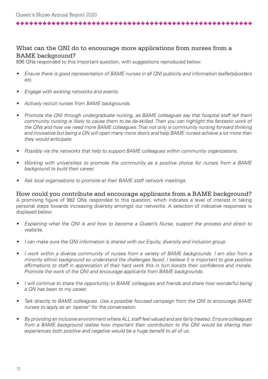# What can the QNI do to encourage more applications from nurses from a BAME background?

896 QNs responded to this important question, with suggestions reproduced below:

- Ensure there is good representation of BAME nurses in all QNI publicity and information leaflets/posters etc.
- Engage with existing networks and events.
- Actively recruit nurses from BAME backgrounds.

\*\*\*\*\*\*\*\*\*\*\*\*\*\*\*\*\*\*\*\*\*\*\*\*\*\*\*\*\*\*\*\*\*

- Promote the QNI through undergraduate nursing, as BAME colleagues say that hospital staff tell them community nursing is likely to cause them to be de-skilled. Then you can highlight the fantastic work of the QNs and how we need more BAME colleagues. That not only is community nursing forward thinking and innovative but being a QN will open many more doors and help BAME nurses achieve a lot more than they would anticipate.
- Possibly via the networks that help to support BAME colleagues within community organizations.
- Working with universities to promote the community as a positive choice for nurses from a BAME background to build their career.
- Ask local organisations to promote at their BAME staff network meetings.

How could you contribute and encourage applicants from a BAME background? A promising figure of 982 QNs responded to this question, which indicates a level of interest in taking personal steps towards increasing diversity amongst our networks. A selection of indicative responses is displayed below:

- Explaining what the QNI is and how to become a Queen's Nurse, support the process and direct to website.
- I can make sure the QNI information is shared with our Equity, diversity and inclusion group.
- I work within a diverse community of nurses from a variety of BAME backgrounds. I am also from a minority ethnic background so understand the challenges faced. I believe it is important to give positive affirmations to staff in appreciation of their hard work this in turn boosts their confidence and morale. Promote the work of the QNI and encourage applicants from BAME backgrounds.
- I will continue to share the opportunity to BAME colleagues and friends and share how wonderful being a QN has been to my career.
- Talk directly to BAME colleagues. Use a possible focused campaign from the QNI to encourage BAME nurses to apply as an 'opener' for the conversation.
- By providing an inclusive environment where ALL staff feel valued and are fairly treated. Ensure colleagues from a BAME background realise how important their contribution to the QNI would be sharing their experiences both positive and negative would be a huge benefit to all of us.